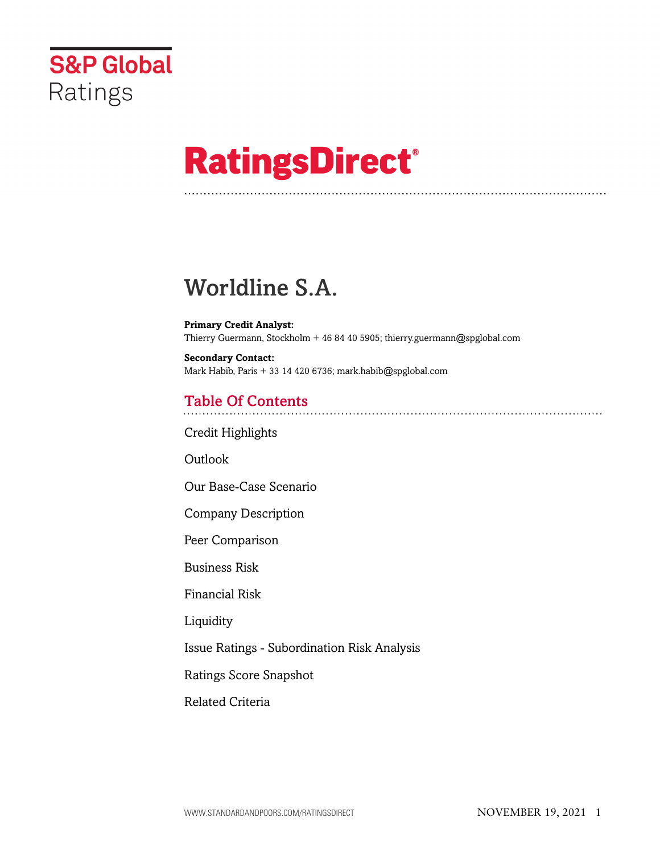

# **RatingsDirect®**

## Worldline S.A.

**Primary Credit Analyst:** Thierry Guermann, Stockholm + 46 84 40 5905; thierry.guermann@spglobal.com

**Secondary Contact:** Mark Habib, Paris + 33 14 420 6736; mark.habib@spglobal.com

## Table Of Contents

[Credit Highlights](#page-1-0)

[Outlook](#page--1-0)

[Our Base-Case Scenario](#page-3-0)

[Company Description](#page-4-0)

[Peer Comparison](#page-5-0)

[Business Risk](#page-5-1)

[Financial Risk](#page-7-0)

[Liquidity](#page-8-0)

[Issue Ratings - Subordination Risk Analysis](#page-9-0)

[Ratings Score Snapshot](#page-9-1)

[Related Criteria](#page-10-0)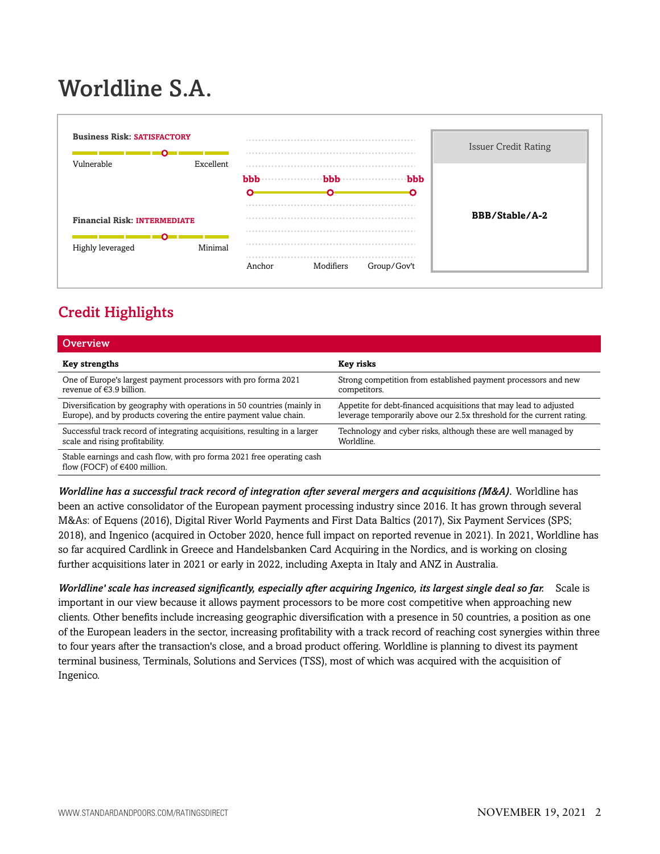## Worldline S.A.



## <span id="page-1-0"></span>Credit Highlights

| Overview                                                                                                 |                                                                       |
|----------------------------------------------------------------------------------------------------------|-----------------------------------------------------------------------|
| <b>Key strengths</b>                                                                                     | Key risks                                                             |
| One of Europe's largest payment processors with pro forma 2021                                           | Strong competition from established payment processors and new        |
| revenue of $€3.9$ billion.                                                                               | competitors.                                                          |
| Diversification by geography with operations in 50 countries (mainly in                                  | Appetite for debt-financed acquisitions that may lead to adjusted     |
| Europe), and by products covering the entire payment value chain.                                        | leverage temporarily above our 2.5x threshold for the current rating. |
| Successful track record of integrating acquisitions, resulting in a larger                               | Technology and cyber risks, although these are well managed by        |
| scale and rising profitability.                                                                          | Worldline.                                                            |
| Stable earnings and cash flow, with pro forma 2021 free operating cash<br>flow (FOCF) of $€400$ million. |                                                                       |

*Worldline has a successful track record of integration after several mergers and acquisitions (M&A).* Worldline has been an active consolidator of the European payment processing industry since 2016. It has grown through several M&As: of Equens (2016), Digital River World Payments and First Data Baltics (2017), Six Payment Services (SPS; 2018), and Ingenico (acquired in October 2020, hence full impact on reported revenue in 2021). In 2021, Worldline has so far acquired Cardlink in Greece and Handelsbanken Card Acquiring in the Nordics, and is working on closing further acquisitions later in 2021 or early in 2022, including Axepta in Italy and ANZ in Australia.

*Worldline' scale has increased significantly, especially after acquiring Ingenico, its largest single deal so far.* Scale is important in our view because it allows payment processors to be more cost competitive when approaching new clients. Other benefits include increasing geographic diversification with a presence in 50 countries, a position as one of the European leaders in the sector, increasing profitability with a track record of reaching cost synergies within three to four years after the transaction's close, and a broad product offering. Worldline is planning to divest its payment terminal business, Terminals, Solutions and Services (TSS), most of which was acquired with the acquisition of Ingenico.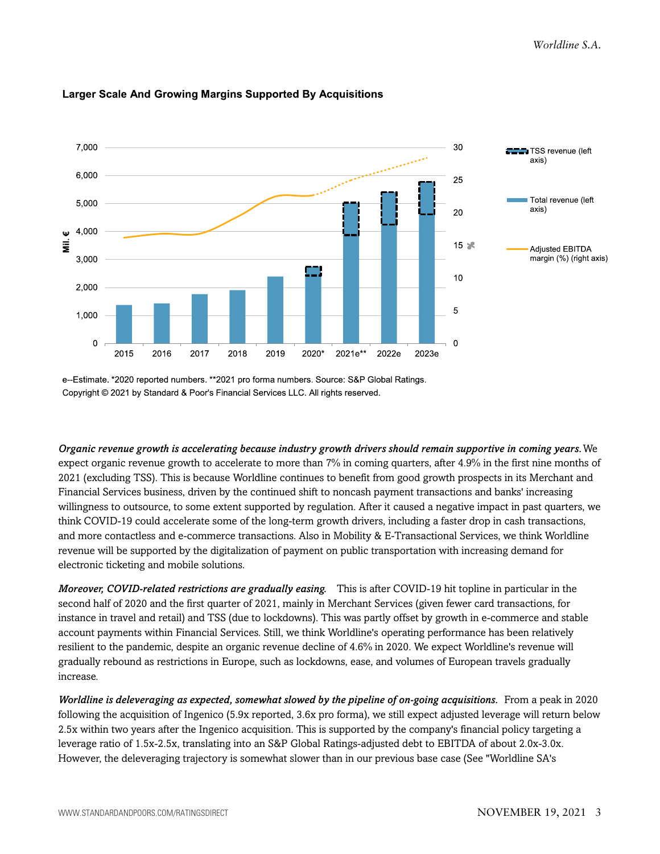

#### **Larger Scale And Growing Margins Supported By Acquisitions**

e--Estimate. \*2020 reported numbers. \*\*2021 pro forma numbers. Source: S&P Global Ratings. Copyright © 2021 by Standard & Poor's Financial Services LLC. All rights reserved.

*Organic revenue growth is accelerating because industry growth drivers should remain supportive in coming years.*We expect organic revenue growth to accelerate to more than 7% in coming quarters, after 4.9% in the first nine months of 2021 (excluding TSS). This is because Worldline continues to benefit from good growth prospects in its Merchant and Financial Services business, driven by the continued shift to noncash payment transactions and banks' increasing willingness to outsource, to some extent supported by regulation. After it caused a negative impact in past quarters, we think COVID-19 could accelerate some of the long-term growth drivers, including a faster drop in cash transactions, and more contactless and e-commerce transactions. Also in Mobility & E-Transactional Services, we think Worldline revenue will be supported by the digitalization of payment on public transportation with increasing demand for electronic ticketing and mobile solutions.

*Moreover, COVID-related restrictions are gradually easing.* This is after COVID-19 hit topline in particular in the second half of 2020 and the first quarter of 2021, mainly in Merchant Services (given fewer card transactions, for instance in travel and retail) and TSS (due to lockdowns). This was partly offset by growth in e-commerce and stable account payments within Financial Services. Still, we think Worldline's operating performance has been relatively resilient to the pandemic, despite an organic revenue decline of 4.6% in 2020. We expect Worldline's revenue will gradually rebound as restrictions in Europe, such as lockdowns, ease, and volumes of European travels gradually increase.

*Worldline is deleveraging as expected, somewhat slowed by the pipeline of on-going acquisitions.* From a peak in 2020 following the acquisition of Ingenico (5.9x reported, 3.6x pro forma), we still expect adjusted leverage will return below 2.5x within two years after the Ingenico acquisition. This is supported by the company's financial policy targeting a leverage ratio of 1.5x-2.5x, translating into an S&P Global Ratings-adjusted debt to EBITDA of about 2.0x-3.0x. However, the deleveraging trajectory is somewhat slower than in our previous base case (See "Worldline SA's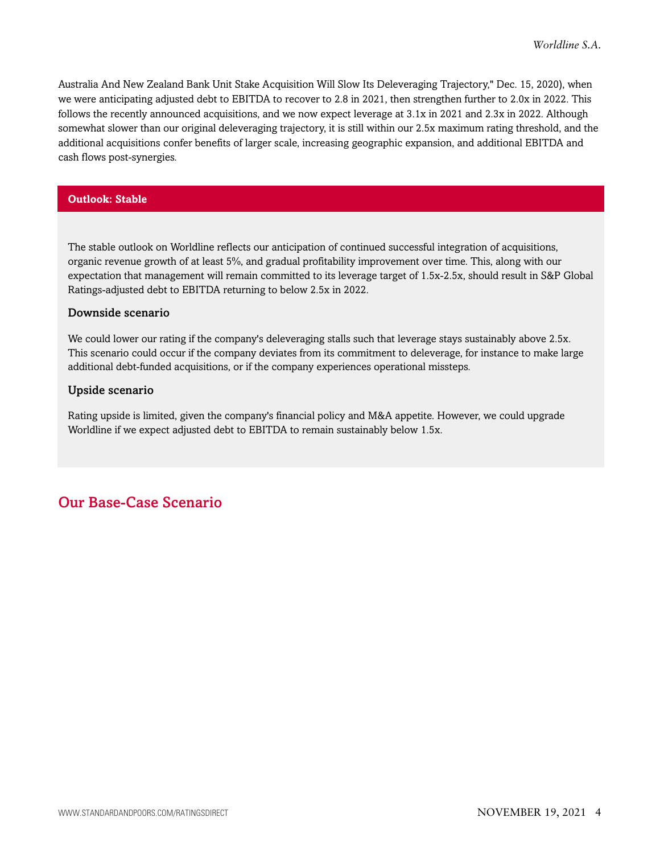Australia And New Zealand Bank Unit Stake Acquisition Will Slow Its Deleveraging Trajectory," Dec. 15, 2020), when we were anticipating adjusted debt to EBITDA to recover to 2.8 in 2021, then strengthen further to 2.0x in 2022. This follows the recently announced acquisitions, and we now expect leverage at 3.1x in 2021 and 2.3x in 2022. Although somewhat slower than our original deleveraging trajectory, it is still within our 2.5x maximum rating threshold, and the additional acquisitions confer benefits of larger scale, increasing geographic expansion, and additional EBITDA and cash flows post-synergies.

#### **Outlook: Stable**

The stable outlook on Worldline reflects our anticipation of continued successful integration of acquisitions, organic revenue growth of at least 5%, and gradual profitability improvement over time. This, along with our expectation that management will remain committed to its leverage target of 1.5x-2.5x, should result in S&P Global Ratings-adjusted debt to EBITDA returning to below 2.5x in 2022.

#### Downside scenario

We could lower our rating if the company's deleveraging stalls such that leverage stays sustainably above 2.5x. This scenario could occur if the company deviates from its commitment to deleverage, for instance to make large additional debt-funded acquisitions, or if the company experiences operational missteps.

#### Upside scenario

Rating upside is limited, given the company's financial policy and M&A appetite. However, we could upgrade Worldline if we expect adjusted debt to EBITDA to remain sustainably below 1.5x.

## <span id="page-3-0"></span>Our Base-Case Scenario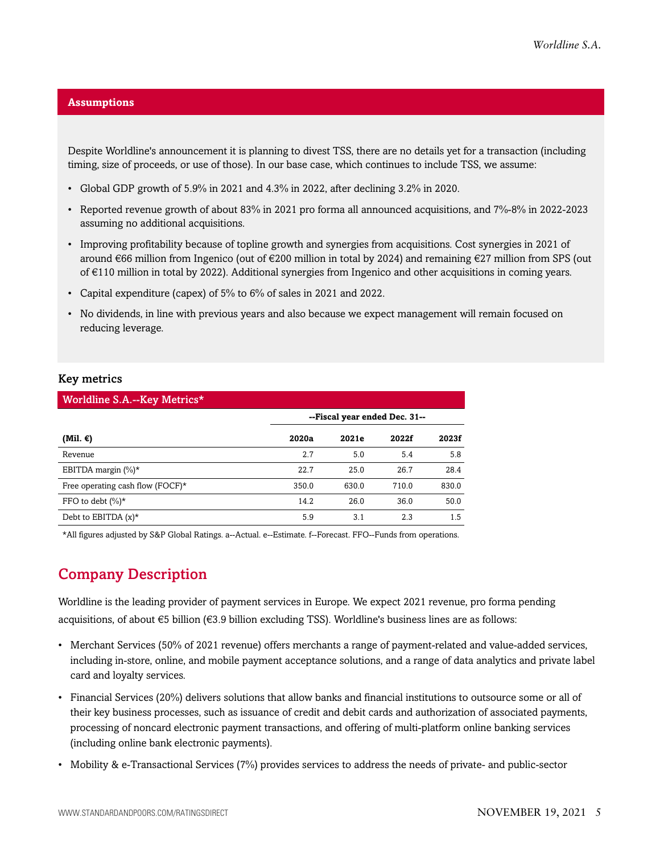#### **Assumptions**

Despite Worldline's announcement it is planning to divest TSS, there are no details yet for a transaction (including timing, size of proceeds, or use of those). In our base case, which continues to include TSS, we assume:

- Global GDP growth of 5.9% in 2021 and 4.3% in 2022, after declining 3.2% in 2020.
- Reported revenue growth of about 83% in 2021 pro forma all announced acquisitions, and 7%-8% in 2022-2023 assuming no additional acquisitions.
- Improving profitability because of topline growth and synergies from acquisitions. Cost synergies in 2021 of around €66 million from Ingenico (out of €200 million in total by 2024) and remaining €27 million from SPS (out of €110 million in total by 2022). Additional synergies from Ingenico and other acquisitions in coming years.
- Capital expenditure (capex) of 5% to 6% of sales in 2021 and 2022.
- No dividends, in line with previous years and also because we expect management will remain focused on reducing leverage.

#### Key metrics

| Worldline S.A.--Key Metrics*     |                               |       |       |       |  |  |
|----------------------------------|-------------------------------|-------|-------|-------|--|--|
|                                  | --Fiscal year ended Dec. 31-- |       |       |       |  |  |
| (Mil. €)                         | 2020a                         | 2021e | 2022f | 2023f |  |  |
| Revenue                          | 2.7                           | 5.0   | 5.4   | 5.8   |  |  |
| EBITDA margin $(\%)^*$           | 22.7                          | 25.0  | 26.7  | 28.4  |  |  |
| Free operating cash flow (FOCF)* | 350.0                         | 630.0 | 710.0 | 830.0 |  |  |
| FFO to debt $(\%)^*$             | 14.2                          | 26.0  | 36.0  | 50.0  |  |  |
| Debt to EBITDA $(x)^*$           | 5.9                           | 3.1   | 2.3   | 1.5   |  |  |

<span id="page-4-0"></span>\*All figures adjusted by S&P Global Ratings. a--Actual. e--Estimate. f--Forecast. FFO--Funds from operations.

## Company Description

Worldline is the leading provider of payment services in Europe. We expect 2021 revenue, pro forma pending acquisitions, of about €5 billion (€3.9 billion excluding TSS). Worldline's business lines are as follows:

- Merchant Services (50% of 2021 revenue) offers merchants a range of payment-related and value-added services, including in-store, online, and mobile payment acceptance solutions, and a range of data analytics and private label card and loyalty services.
- Financial Services (20%) delivers solutions that allow banks and financial institutions to outsource some or all of their key business processes, such as issuance of credit and debit cards and authorization of associated payments, processing of noncard electronic payment transactions, and offering of multi-platform online banking services (including online bank electronic payments).
- Mobility & e-Transactional Services (7%) provides services to address the needs of private- and public-sector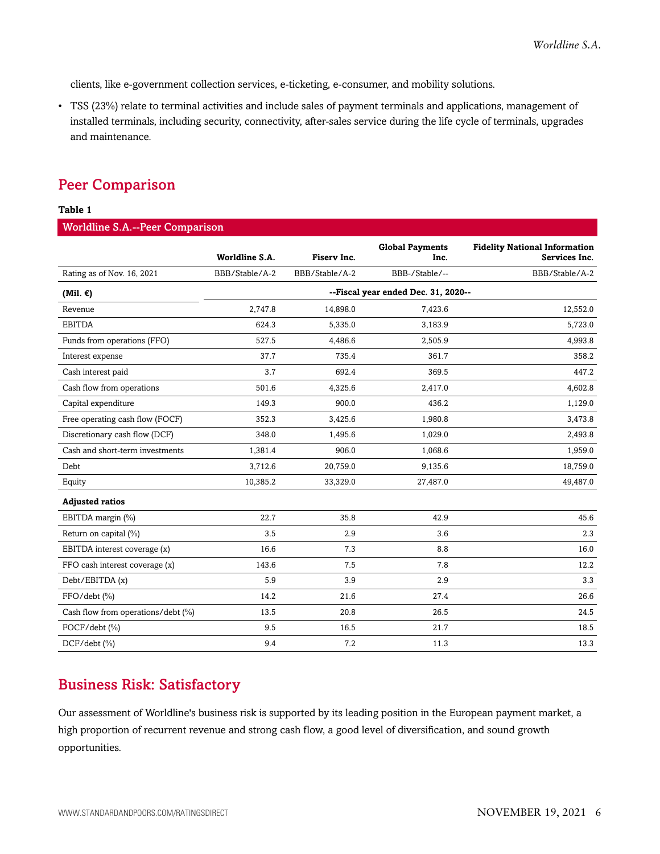clients, like e-government collection services, e-ticketing, e-consumer, and mobility solutions.

• TSS (23%) relate to terminal activities and include sales of payment terminals and applications, management of installed terminals, including security, connectivity, after-sales service during the life cycle of terminals, upgrades and maintenance.

### <span id="page-5-0"></span>Peer Comparison

#### **Table 1**

#### Worldline S.A.--Peer Comparison

|                                    | Worldline S.A. | Fisery Inc.    | <b>Global Payments</b><br>Inc.      | <b>Fidelity National Information</b><br>Services Inc. |
|------------------------------------|----------------|----------------|-------------------------------------|-------------------------------------------------------|
| Rating as of Nov. 16, 2021         | BBB/Stable/A-2 | BBB/Stable/A-2 | BBB-/Stable/--                      | BBB/Stable/A-2                                        |
| (Mil. $\epsilon$ )                 |                |                | --Fiscal year ended Dec. 31, 2020-- |                                                       |
| Revenue                            | 2.747.8        | 14,898.0       | 7,423.6                             | 12,552.0                                              |
| <b>EBITDA</b>                      | 624.3          | 5,335.0        | 3,183.9                             | 5,723.0                                               |
| Funds from operations (FFO)        | 527.5          | 4,486.6        | 2,505.9                             | 4,993.8                                               |
| Interest expense                   | 37.7           | 735.4          | 361.7                               | 358.2                                                 |
| Cash interest paid                 | 3.7            | 692.4          | 369.5                               | 447.2                                                 |
| Cash flow from operations          | 501.6          | 4,325.6        | 2,417.0                             | 4,602.8                                               |
| Capital expenditure                | 149.3          | 900.0          | 436.2                               | 1,129.0                                               |
| Free operating cash flow (FOCF)    | 352.3          | 3,425.6        | 1,980.8                             | 3,473.8                                               |
| Discretionary cash flow (DCF)      | 348.0          | 1,495.6        | 1,029.0                             | 2,493.8                                               |
| Cash and short-term investments    | 1,381.4        | 906.0          | 1,068.6                             | 1,959.0                                               |
| Debt                               | 3.712.6        | 20,759.0       | 9,135.6                             | 18,759.0                                              |
| Equity                             | 10,385.2       | 33,329.0       | 27,487.0                            | 49,487.0                                              |
| <b>Adjusted ratios</b>             |                |                |                                     |                                                       |
| EBITDA margin (%)                  | 22.7           | 35.8           | 42.9                                | 45.6                                                  |
| Return on capital (%)              | 3.5            | 2.9            | 3.6                                 | 2.3                                                   |
| EBITDA interest coverage (x)       | 16.6           | 7.3            | 8.8                                 | 16.0                                                  |
| FFO cash interest coverage (x)     | 143.6          | 7.5            | 7.8                                 | 12.2                                                  |
| Debt/EBITDA (x)                    | 5.9            | 3.9            | 2.9                                 | 3.3                                                   |
| FFO/debt (%)                       | 14.2           | 21.6           | 27.4                                | 26.6                                                  |
| Cash flow from operations/debt (%) | 13.5           | 20.8           | 26.5                                | 24.5                                                  |
| FOCF/debt (%)                      | 9.5            | 16.5           | 21.7                                | 18.5                                                  |
| DCF/debt (%)                       | 9.4            | 7.2            | 11.3                                | 13.3                                                  |

## <span id="page-5-1"></span>Business Risk: Satisfactory

Our assessment of Worldline's business risk is supported by its leading position in the European payment market, a high proportion of recurrent revenue and strong cash flow, a good level of diversification, and sound growth opportunities.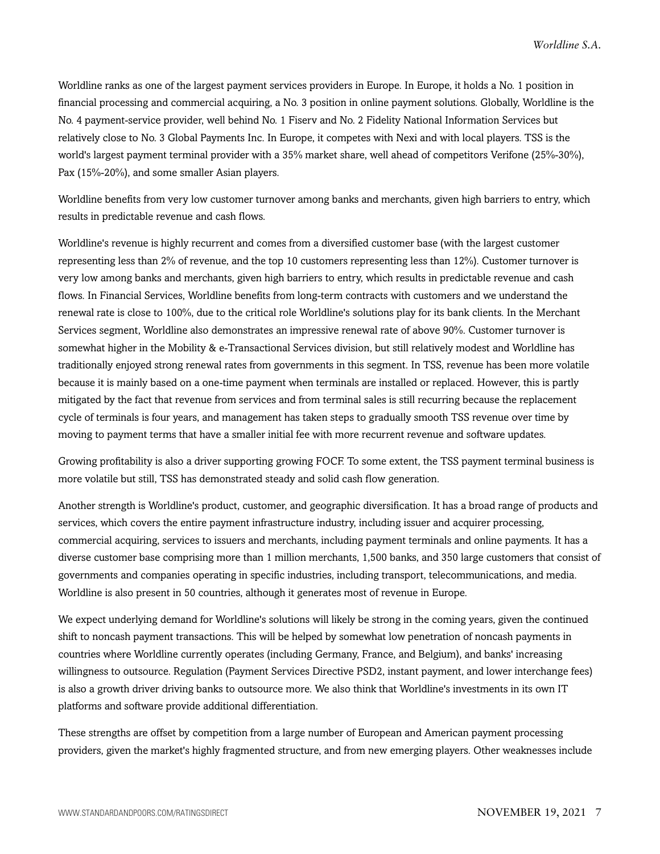Worldline ranks as one of the largest payment services providers in Europe. In Europe, it holds a No. 1 position in financial processing and commercial acquiring, a No. 3 position in online payment solutions. Globally, Worldline is the No. 4 payment-service provider, well behind No. 1 Fiserv and No. 2 Fidelity National Information Services but relatively close to No. 3 Global Payments Inc. In Europe, it competes with Nexi and with local players. TSS is the world's largest payment terminal provider with a 35% market share, well ahead of competitors Verifone (25%-30%), Pax (15%-20%), and some smaller Asian players.

Worldline benefits from very low customer turnover among banks and merchants, given high barriers to entry, which results in predictable revenue and cash flows.

Worldline's revenue is highly recurrent and comes from a diversified customer base (with the largest customer representing less than 2% of revenue, and the top 10 customers representing less than 12%). Customer turnover is very low among banks and merchants, given high barriers to entry, which results in predictable revenue and cash flows. In Financial Services, Worldline benefits from long-term contracts with customers and we understand the renewal rate is close to 100%, due to the critical role Worldline's solutions play for its bank clients. In the Merchant Services segment, Worldline also demonstrates an impressive renewal rate of above 90%. Customer turnover is somewhat higher in the Mobility & e-Transactional Services division, but still relatively modest and Worldline has traditionally enjoyed strong renewal rates from governments in this segment. In TSS, revenue has been more volatile because it is mainly based on a one-time payment when terminals are installed or replaced. However, this is partly mitigated by the fact that revenue from services and from terminal sales is still recurring because the replacement cycle of terminals is four years, and management has taken steps to gradually smooth TSS revenue over time by moving to payment terms that have a smaller initial fee with more recurrent revenue and software updates.

Growing profitability is also a driver supporting growing FOCF. To some extent, the TSS payment terminal business is more volatile but still, TSS has demonstrated steady and solid cash flow generation.

Another strength is Worldline's product, customer, and geographic diversification. It has a broad range of products and services, which covers the entire payment infrastructure industry, including issuer and acquirer processing, commercial acquiring, services to issuers and merchants, including payment terminals and online payments. It has a diverse customer base comprising more than 1 million merchants, 1,500 banks, and 350 large customers that consist of governments and companies operating in specific industries, including transport, telecommunications, and media. Worldline is also present in 50 countries, although it generates most of revenue in Europe.

We expect underlying demand for Worldline's solutions will likely be strong in the coming years, given the continued shift to noncash payment transactions. This will be helped by somewhat low penetration of noncash payments in countries where Worldline currently operates (including Germany, France, and Belgium), and banks' increasing willingness to outsource. Regulation (Payment Services Directive PSD2, instant payment, and lower interchange fees) is also a growth driver driving banks to outsource more. We also think that Worldline's investments in its own IT platforms and software provide additional differentiation.

These strengths are offset by competition from a large number of European and American payment processing providers, given the market's highly fragmented structure, and from new emerging players. Other weaknesses include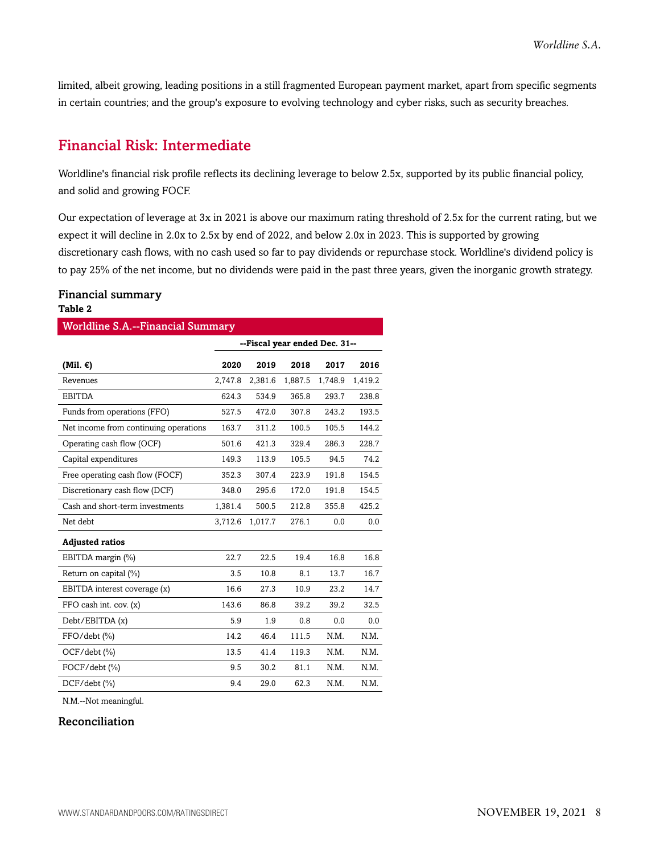limited, albeit growing, leading positions in a still fragmented European payment market, apart from specific segments in certain countries; and the group's exposure to evolving technology and cyber risks, such as security breaches.

### <span id="page-7-0"></span>Financial Risk: Intermediate

Worldline's financial risk profile reflects its declining leverage to below 2.5x, supported by its public financial policy, and solid and growing FOCF.

Our expectation of leverage at 3x in 2021 is above our maximum rating threshold of 2.5x for the current rating, but we expect it will decline in 2.0x to 2.5x by end of 2022, and below 2.0x in 2023. This is supported by growing discretionary cash flows, with no cash used so far to pay dividends or repurchase stock. Worldline's dividend policy is to pay 25% of the net income, but no dividends were paid in the past three years, given the inorganic growth strategy.

#### Financial summary **Table 2**

| <b>Worldline S.A.--Financial Summary</b> |                               |         |         |         |         |  |  |
|------------------------------------------|-------------------------------|---------|---------|---------|---------|--|--|
|                                          | --Fiscal year ended Dec. 31-- |         |         |         |         |  |  |
| (Mil. $\epsilon$ )                       | 2020                          | 2019    | 2018    | 2017    | 2016    |  |  |
| Revenues                                 | 2,747.8                       | 2,381.6 | 1,887.5 | 1,748.9 | 1,419.2 |  |  |
| <b>EBITDA</b>                            | 624.3                         | 534.9   | 365.8   | 293.7   | 238.8   |  |  |
| Funds from operations (FFO)              | 527.5                         | 472.0   | 307.8   | 243.2   | 193.5   |  |  |
| Net income from continuing operations    | 163.7                         | 311.2   | 100.5   | 105.5   | 144.2   |  |  |
| Operating cash flow (OCF)                | 501.6                         | 421.3   | 329.4   | 286.3   | 228.7   |  |  |
| Capital expenditures                     | 149.3                         | 113.9   | 105.5   | 94.5    | 74.2    |  |  |
| Free operating cash flow (FOCF)          | 352.3                         | 307.4   | 223.9   | 191.8   | 154.5   |  |  |
| Discretionary cash flow (DCF)            | 348.0                         | 295.6   | 172.0   | 191.8   | 154.5   |  |  |
| Cash and short-term investments          | 1,381.4                       | 500.5   | 212.8   | 355.8   | 425.2   |  |  |
| Net debt                                 | 3,712.6                       | 1,017.7 | 276.1   | 0.0     | 0.0     |  |  |
| <b>Adjusted ratios</b>                   |                               |         |         |         |         |  |  |
| EBITDA margin (%)                        | 22.7                          | 22.5    | 19.4    | 16.8    | 16.8    |  |  |
| Return on capital (%)                    | 3.5                           | 10.8    | 8.1     | 13.7    | 16.7    |  |  |
| EBITDA interest coverage (x)             | 16.6                          | 27.3    | 10.9    | 23.2    | 14.7    |  |  |
| FFO cash int. cov. (x)                   | 143.6                         | 86.8    | 39.2    | 39.2    | 32.5    |  |  |
| Debt/EBITDA (x)                          | 5.9                           | 1.9     | 0.8     | 0.0     | 0.0     |  |  |
| FFO/debt (%)                             | 14.2                          | 46.4    | 111.5   | N.M.    | N.M.    |  |  |
| OCF/debt (%)                             | 13.5                          | 41.4    | 119.3   | N.M.    | N.M.    |  |  |
| $FOCF/debt$ $(\% )$                      | 9.5                           | 30.2    | 81.1    | N.M.    | N.M.    |  |  |
| $DCF/debt$ (%)                           | 9.4                           | 29.0    | 62.3    | N.M.    | N.M.    |  |  |

N.M.--Not meaningful.

#### Reconciliation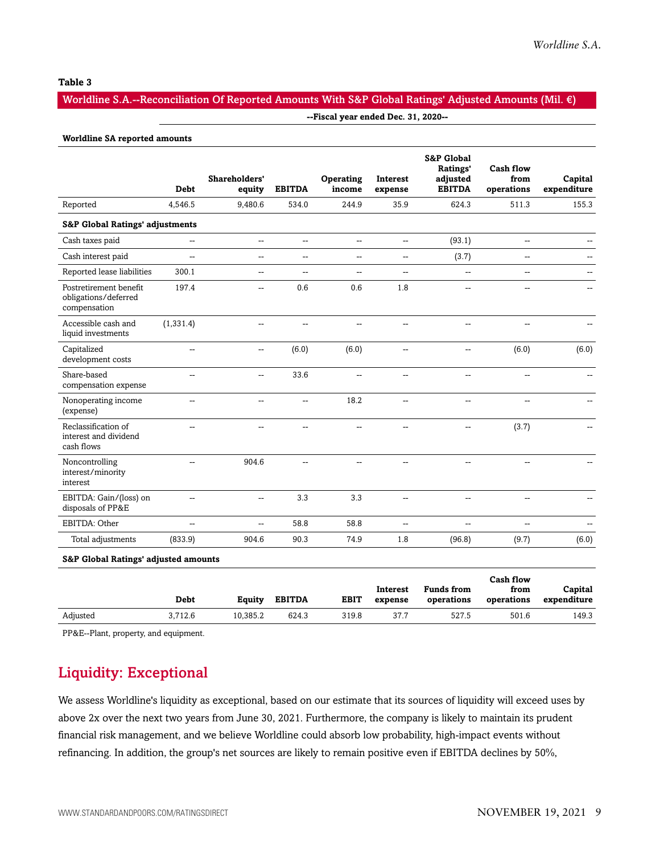#### **Table 3**

#### Worldline S.A.--Reconciliation Of Reported Amounts With S&P Global Ratings' Adjusted Amounts (Mil. €)

#### **--Fiscal year ended Dec. 31, 2020--**

#### **Worldline SA reported amounts**

|                                                                | <b>Debt</b>    | Shareholders'<br>equity  | <b>EBITDA</b>  | Operating<br>income | <b>Interest</b><br>expense | <b>S&amp;P Global</b><br>Ratings'<br>adjusted<br><b>EBITDA</b> | <b>Cash flow</b><br>from<br>operations | Capital<br>expenditure |
|----------------------------------------------------------------|----------------|--------------------------|----------------|---------------------|----------------------------|----------------------------------------------------------------|----------------------------------------|------------------------|
| Reported                                                       | 4,546.5        | 9,480.6                  | 534.0          | 244.9               | 35.9                       | 624.3                                                          | 511.3                                  | 155.3                  |
| <b>S&amp;P Global Ratings' adjustments</b>                     |                |                          |                |                     |                            |                                                                |                                        |                        |
| Cash taxes paid                                                | Щ,             | $\overline{\phantom{a}}$ | $\overline{a}$ | Ξ.                  | $\mathbf{u}$               | (93.1)                                                         | -−                                     |                        |
| Cash interest paid                                             | Щ,             | $\overline{a}$           | $\overline{a}$ | Щ,                  | $\mathbf{u}$               | (3.7)                                                          | Щ,                                     |                        |
| Reported lease liabilities                                     | 300.1          | $\overline{a}$           | $\overline{a}$ | --                  | $\mathbf{u}$               | $\overline{\phantom{a}}$                                       | --                                     |                        |
| Postretirement benefit<br>obligations/deferred<br>compensation | 197.4          | --                       | 0.6            | 0.6                 | 1.8                        | $\sim$                                                         | Щ,                                     |                        |
| Accessible cash and<br>liquid investments                      | (1, 331.4)     | $\overline{a}$           | $\sim$         | --                  | $\sim$                     | $\sim$                                                         | --                                     |                        |
| Capitalized<br>development costs                               | $\overline{a}$ | Щ,                       | (6.0)          | (6.0)               | $\overline{a}$             | $\overline{a}$                                                 | (6.0)                                  | (6.0)                  |
| Share-based<br>compensation expense                            | --             | --                       | 33.6           | Щ,                  | $\mathbf{L}$               | $\overline{a}$                                                 | Щ,                                     | $\mathbf{u}$           |
| Nonoperating income<br>(expense)                               | $\overline{a}$ | $\overline{a}$           | $\sim$         | 18.2                | $\sim$                     | $\sim$                                                         | --                                     | $-$                    |
| Reclassification of<br>interest and dividend<br>cash flows     | $\overline{a}$ | --                       | --             | --                  | --                         | --                                                             | (3.7)                                  |                        |
| Noncontrolling<br>interest/minority<br>interest                | $\overline{a}$ | 904.6                    | $\overline{a}$ | --                  | $\overline{a}$             | $\sim$                                                         |                                        |                        |
| EBITDA: Gain/(loss) on<br>disposals of PP&E                    | $\overline{a}$ | --                       | 3.3            | 3.3                 | $\mathbf{u}$               | --                                                             | --                                     | --                     |
| EBITDA: Other                                                  | u.             | $-$                      | 58.8           | 58.8                | $\sim$                     | $\overline{a}$                                                 | L.                                     |                        |
| Total adjustments                                              | (833.9)        | 904.6                    | 90.3           | 74.9                | 1.8                        | (96.8)                                                         | (9.7)                                  | (6.0)                  |
| <b>S&amp;P Global Ratings' adjusted amounts</b>                |                |                          |                |                     |                            |                                                                |                                        |                        |

|          |         |          |               |             |          |                   | Cash flow  |             |
|----------|---------|----------|---------------|-------------|----------|-------------------|------------|-------------|
|          |         |          |               |             | Interest | <b>Funds from</b> | from       | Capital     |
|          | Debt    | Equity   | <b>EBITDA</b> | <b>EBIT</b> | expense  | operations        | operations | expenditure |
| Adjusted | 3.712.6 | 10,385.2 | 624.3         | 319.8       | 37.7     | 527.5             | 501.6      | 149.3       |

<span id="page-8-0"></span>PP&E--Plant, property, and equipment.

## Liquidity: Exceptional

We assess Worldline's liquidity as exceptional, based on our estimate that its sources of liquidity will exceed uses by above 2x over the next two years from June 30, 2021. Furthermore, the company is likely to maintain its prudent financial risk management, and we believe Worldline could absorb low probability, high-impact events without refinancing. In addition, the group's net sources are likely to remain positive even if EBITDA declines by 50%,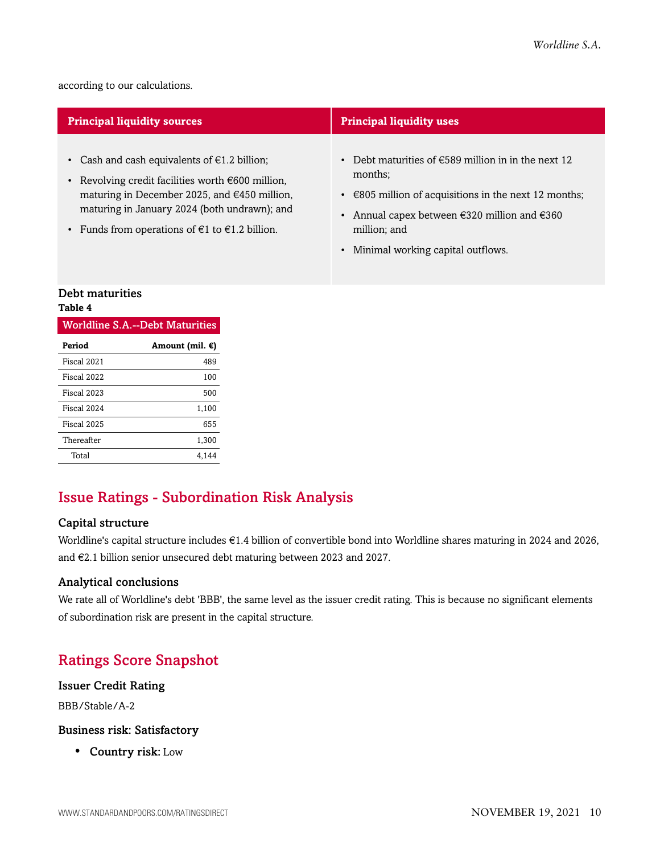according to our calculations.

| <b>Principal liquidity sources</b>                                                                                                                                                                                                                                                          | <b>Principal liquidity uses</b>                                                                                                                                                                                                                                                                          |
|---------------------------------------------------------------------------------------------------------------------------------------------------------------------------------------------------------------------------------------------------------------------------------------------|----------------------------------------------------------------------------------------------------------------------------------------------------------------------------------------------------------------------------------------------------------------------------------------------------------|
| • Cash and cash equivalents of $\epsilon$ 1.2 billion;<br>• Revolving credit facilities worth $\epsilon$ 600 million,<br>maturing in December 2025, and €450 million,<br>maturing in January 2024 (both undrawn); and<br>• Funds from operations of $\epsilon$ 1 to $\epsilon$ 1.2 billion. | Debt maturities of $\epsilon$ 589 million in in the next 12<br>$\bullet$<br>months;<br>$\cdot$ $\in$ 805 million of acquisitions in the next 12 months;<br>Annual capex between $\epsilon$ 320 million and $\epsilon$ 360<br>$\bullet$<br>million; and<br>Minimal working capital outflows.<br>$\bullet$ |
| <b>Debt maturities</b>                                                                                                                                                                                                                                                                      |                                                                                                                                                                                                                                                                                                          |

## **Table 4**

| <b>Worldline S.A.--Debt Maturities</b> |                           |  |  |  |
|----------------------------------------|---------------------------|--|--|--|
| Period                                 | Amount (mil. $\epsilon$ ) |  |  |  |
| Fiscal 2021                            | 489                       |  |  |  |
| Fiscal 2022                            | 100                       |  |  |  |
| Fiscal 2023                            | 500                       |  |  |  |
| Fiscal 2024                            | 1.100                     |  |  |  |
| Fiscal 2025                            | 655                       |  |  |  |
| Thereafter                             | 1.300                     |  |  |  |
| Total                                  | 4.144                     |  |  |  |

## <span id="page-9-0"></span>Issue Ratings - Subordination Risk Analysis

#### Capital structure

Worldline's capital structure includes €1.4 billion of convertible bond into Worldline shares maturing in 2024 and 2026, and €2.1 billion senior unsecured debt maturing between 2023 and 2027.

#### Analytical conclusions

We rate all of Worldline's debt 'BBB', the same level as the issuer credit rating. This is because no significant elements of subordination risk are present in the capital structure.

## <span id="page-9-1"></span>Ratings Score Snapshot

#### Issuer Credit Rating

BBB/Stable/A-2

#### Business risk: Satisfactory

• Country risk: Low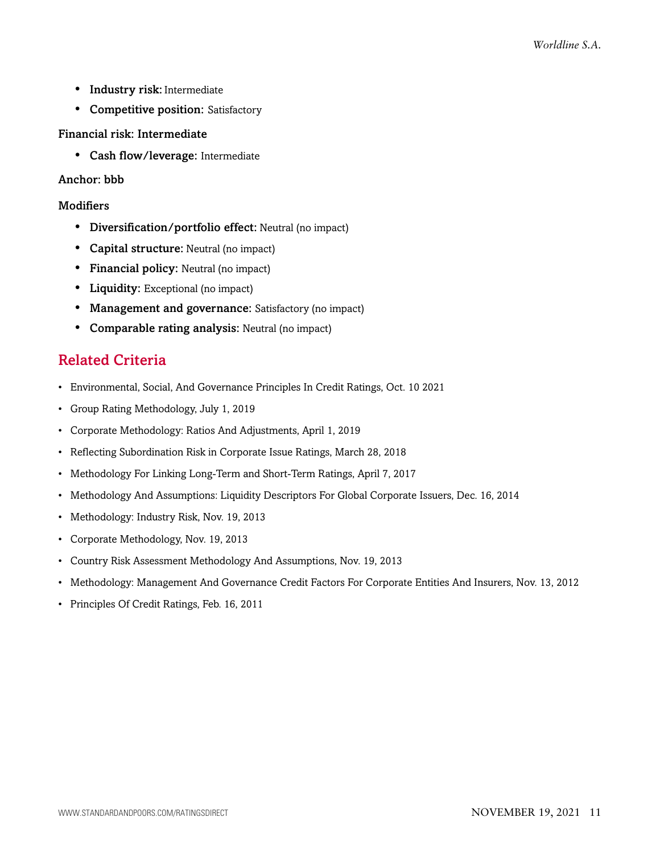- Industry risk: Intermediate
- Competitive position: Satisfactory

#### Financial risk: Intermediate

• Cash flow/leverage: Intermediate

#### Anchor: bbb

#### **Modifiers**

- Diversification/portfolio effect: Neutral (no impact)
- Capital structure: Neutral (no impact)
- Financial policy: Neutral (no impact)
- Liquidity: Exceptional (no impact)
- Management and governance: Satisfactory (no impact)
- <span id="page-10-0"></span>• Comparable rating analysis: Neutral (no impact)

## Related Criteria

- Environmental, Social, And Governance Principles In Credit Ratings, Oct. 10 2021
- Group Rating Methodology, July 1, 2019
- Corporate Methodology: Ratios And Adjustments, April 1, 2019
- Reflecting Subordination Risk in Corporate Issue Ratings, March 28, 2018
- Methodology For Linking Long-Term and Short-Term Ratings, April 7, 2017
- Methodology And Assumptions: Liquidity Descriptors For Global Corporate Issuers, Dec. 16, 2014
- Methodology: Industry Risk, Nov. 19, 2013
- Corporate Methodology, Nov. 19, 2013
- Country Risk Assessment Methodology And Assumptions, Nov. 19, 2013
- Methodology: Management And Governance Credit Factors For Corporate Entities And Insurers, Nov. 13, 2012
- Principles Of Credit Ratings, Feb. 16, 2011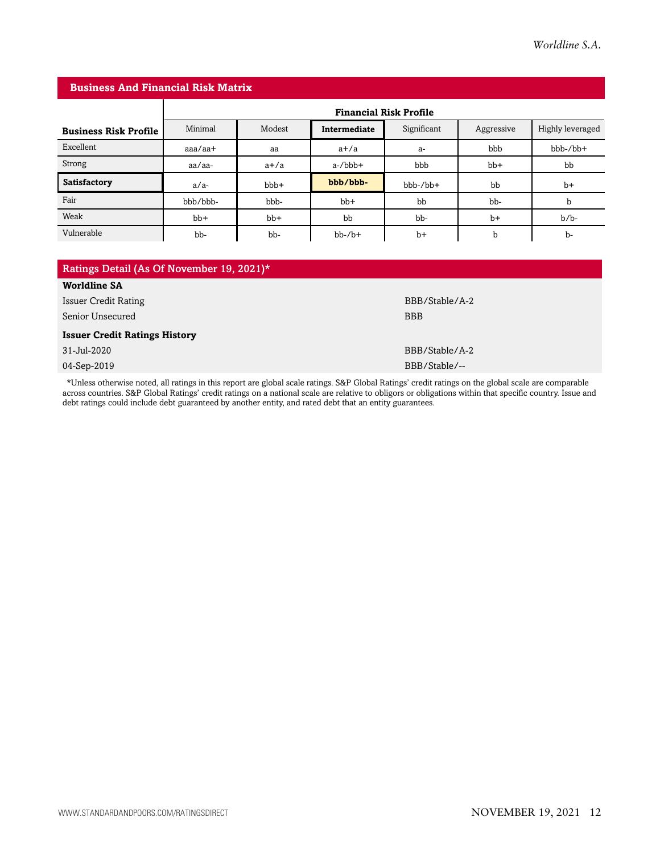| <b>Business And Financial Risk Matrix</b> |                               |        |              |             |            |                  |  |
|-------------------------------------------|-------------------------------|--------|--------------|-------------|------------|------------------|--|
|                                           | <b>Financial Risk Profile</b> |        |              |             |            |                  |  |
| <b>Business Risk Profile</b>              | Minimal                       | Modest | Intermediate | Significant | Aggressive | Highly leveraged |  |
| Excellent                                 | $a$ aa $/a$ a $+$             | aa     | $a+/a$       | a-          | bbb        | $bbb-/bb+$       |  |
| Strong                                    | aa/aa-                        | $a+/a$ | $a$ -/ $bbb$ | bbb         | $bb+$      | bb               |  |
| Satisfactory                              | $a/a-$                        | bbb+   | bbb/bbb-     | $bbb-/bb+$  | bb         | $b+$             |  |
| Fair                                      | bbb/bbb-                      | bbb-   | $bb+$        | bb          | bb-        | b                |  |
| Weak                                      | $bb+$                         | $bb+$  | bb           | bb-         | $b+$       | $b/b$ -          |  |
| Vulnerable                                | bb-                           | bb-    | $bb-/b+$     | $b+$        | b          | b-               |  |

| Ratings Detail (As Of November 19, 2021)* |                |  |  |  |  |
|-------------------------------------------|----------------|--|--|--|--|
| <b>Worldline SA</b>                       |                |  |  |  |  |
| <b>Issuer Credit Rating</b>               | BBB/Stable/A-2 |  |  |  |  |
| Senior Unsecured                          | <b>BBB</b>     |  |  |  |  |
| <b>Issuer Credit Ratings History</b>      |                |  |  |  |  |
| 31-Jul-2020                               | BBB/Stable/A-2 |  |  |  |  |
| 04-Sep-2019                               | BBB/Stable/--  |  |  |  |  |

\*Unless otherwise noted, all ratings in this report are global scale ratings. S&P Global Ratings' credit ratings on the global scale are comparable across countries. S&P Global Ratings' credit ratings on a national scale are relative to obligors or obligations within that specific country. Issue and debt ratings could include debt guaranteed by another entity, and rated debt that an entity guarantees.